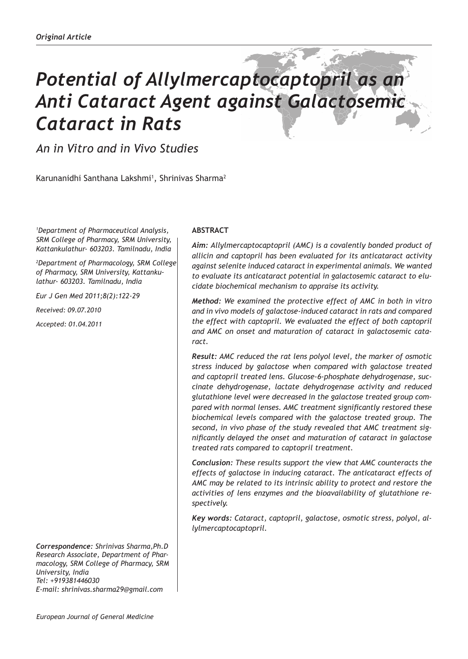# *Potential of Allylmercaptocaptopril as an Anti Cataract Agent against Galactosemic Cataract in Rats*

*An in Vitro and in Vivo Studies*

Karunanidhi Santhana Lakshmi<sup>1</sup>, Shrinivas Sharma<sup>2</sup>

*1 Department of Pharmaceutical Analysis, SRM College of Pharmacy, SRM University, Kattankulathur- 603203. Tamilnadu, India*

*2 Department of Pharmacology, SRM College of Pharmacy, SRM University, Kattankulathur- 603203. Tamilnadu, India*

*Eur J Gen Med 2011;8(2):122-29*

*Received: 09.07.2010*

*Accepted: 01.04.2011*

*Correspondence: Shrinivas Sharma,Ph.D Research Associate, Department of Pharmacology, SRM College of Pharmacy, SRM University, India Tel: +919381446030 E-mail: shrinivas.sharma29@gmail.com*

# **ABSTRACT**

*Aim: Allylmercaptocaptopril (AMC) is a covalently bonded product of allicin and captopril has been evaluated for its anticataract activity against selenite induced cataract in experimental animals. We wanted to evaluate its anticataract potential in galactosemic cataract to elucidate biochemical mechanism to appraise its activity.*

*Method: We examined the protective effect of AMC in both in vitro and in vivo models of galactose-induced cataract in rats and compared the effect with captopril. We evaluated the effect of both captopril and AMC on onset and maturation of cataract in galactosemic cataract.*

*Result: AMC reduced the rat lens polyol level, the marker of osmotic stress induced by galactose when compared with galactose treated and captopril treated lens. Glucose-6-phosphate dehydrogenase, succinate dehydrogenase, lactate dehydrogenase activity and reduced glutathione level were decreased in the galactose treated group compared with normal lenses. AMC treatment significantly restored these biochemical levels compared with the galactose treated group. The second, in vivo phase of the study revealed that AMC treatment significantly delayed the onset and maturation of cataract in galactose treated rats compared to captopril treatment.*

*Conclusion: These results support the view that AMC counteracts the effects of galactose in inducing cataract. The anticataract effects of AMC may be related to its intrinsic ability to protect and restore the activities of lens enzymes and the bioavailability of glutathione respectively.* 

*Key words: Cataract, captopril, galactose, osmotic stress, polyol, allylmercaptocaptopril.*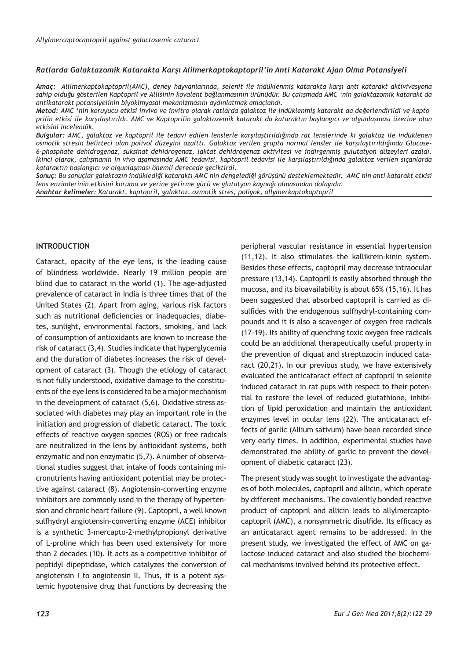## *Ratlarda Galaktazomik Katarakta Karşı Alilmerkaptokaptopril'in Anti Katarakt Ajan Olma Potansiyeli*

*Amaç: Alilmerkaptokaptopril(AMC), deney hayvanlarında, selenit ile indüklenmiş katarakta karşı anti katarakt aktivivasyona sahip olduğu gösterilen Kaptopril ve Allisinin kovalent bağlanmasının ürünüdür. Bu çalışmada AMC 'nin galaktazomik katarakt da antikatarakt potansiyelinin biyokimyasal mekanizmasını aydınlatmak amaçlandı.* 

*Metod: AMC 'nin koruyucu etkisi invivo ve invitro olarak ratlarda galaktoz ile indüklenmiş katarakt da değerlendirildi ve kaptoprilin etkisi ile karşılaştırıldı. AMC ve Kaptoprilin galaktozemik katarakt da kataraktın başlangıcı ve olgunlaşması üzerine olan etkisini incelendik.*

*Bulgular: AMC, galaktoz ve kaptopril ile tedavi edilen lenslerle karşılaştırıldığında rat lenslerinde ki galaktoz ile indüklenen osmotik stresin belirteci olan polivol düzeyini azalttı. Galaktoz verilen grupta normal lensler ile karşılaştırıldığında Glucose-6-phosphate dehidrogenaz, suksinat dehidrogenaz, laktat dehidrogenaz aktivitesi ve indirgenmiş gulutatyon düzeyleri azaldı. İkinci olarak, çalışmanın in vivo aşamasında AMC tedavisi, kaptopril tedavisi ile karşılaştırıldığında galaktoz verilen sıçanlarda kataraktın başlangıcı ve olgunlaşması önemli derecede geciktirdi.*

*Sonuç: Bu sonuçlar galaktozın indüklediği kataraktı AMC nin dengelediği görüşünü desteklemektedir. AMC nin anti katarakt etkisi lens enzimlerinin etkisini koruma ve yerine getirme gücü ve glutatyon kaynağı olmasından dolayıdır.*

*Anahtar kelimeler: Katarakt, kaptopril, galaktoz, ozmotik stres, poliyok, allymerkaptokaptopril*

## **INTRODUCTION**

Cataract, opacity of the eye lens, is the leading cause of blindness worldwide. Nearly 19 million people are blind due to cataract in the world (1). The age-adjusted prevalence of cataract in India is three times that of the United States (2). Apart from aging, various risk factors such as nutritional deficiencies or inadequacies, diabetes, sunlight, environmental factors, smoking, and lack of consumption of antioxidants are known to increase the risk of cataract (3,4). Studies indicate that hyperglycemia and the duration of diabetes increases the risk of development of cataract (3). Though the etiology of cataract is not fully understood, oxidative damage to the constituents of the eye lens is considered to be a major mechanism in the development of cataract (5,6). Oxidative stress associated with diabetes may play an important role in the initiation and progression of diabetic cataract. The toxic effects of reactive oxygen species (ROS) or free radicals are neutralized in the lens by antioxidant systems, both enzymatic and non enzymatic (5,7). A number of observational studies suggest that intake of foods containing micronutrients having antioxidant potential may be protective against cataract (8). Angiotensin-converting enzyme inhibitors are commonly used in the therapy of hypertension and chronic heart failure (9). Captopril, a well known sulfhydryl angiotensin-converting enzyme (ACE) inhibitor is a synthetic 3-mercapto-2-methylpropionyl derivative of L-proline which has been used extensively for more than 2 decades (10). It acts as a competitive inhibitor of peptidyl dipeptidase, which catalyzes the conversion of angiotensin I to angiotensin II. Thus, it is a potent systemic hypotensive drug that functions by decreasing the

peripheral vascular resistance in essential hypertension (11,12). It also stimulates the kallikrein-kinin system. Besides these effects, captopril may decrease intraocular pressure (13,14). Captopril is easily absorbed through the mucosa, and its bioavailability is about 65% (15,16). It has been suggested that absorbed captopril is carried as disulfides with the endogenous sulfhydryl-containing compounds and it is also a scavenger of oxygen free radicals (17-19). Its ability of quenching toxic oxygen free radicals could be an additional therapeutically useful property in the prevention of diquat and streptozocin induced cataract (20,21). In our previous study, we have extensively evaluated the anticataract effect of captopril in selenite induced cataract in rat pups with respect to their potential to restore the level of reduced glutathione, inhibition of lipid peroxidation and maintain the antioxidant enzymes level in ocular lens (22). The anticataract effects of garlic (Allium sativum) have been recorded since very early times. In addition, experimental studies have demonstrated the ability of garlic to prevent the development of diabetic cataract (23).

The present study was sought to investigate the advantages of both molecules, captopril and allicin, which operate by different mechanisms. The covalently bonded reactive product of captopril and allicin leads to allylmercaptocaptopril (AMC), a nonsymmetric disulfide. Its efficacy as an anticataract agent remains to be addressed. In the present study, we investigated the effect of AMC on galactose induced cataract and also studied the biochemical mechanisms involved behind its protective effect.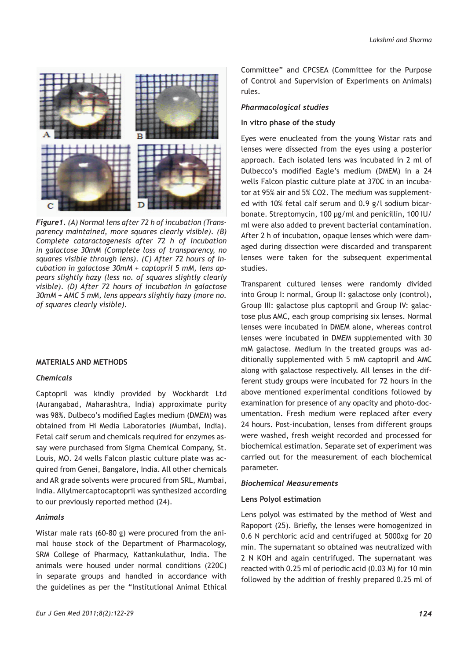

*Figure1. (A) Normal lens after 72 h of incubation (Transparency maintained, more squares clearly visible). (B) Complete cataractogenesis after 72 h of incubation in galactose 30mM (Complete loss of transparency, no squares visible through lens). (C) After 72 hours of incubation in galactose 30mM + captopril 5 mM, lens appears slightly hazy (less no. of squares slightly clearly visible). (D) After 72 hours of incubation in galactose 30mM + AMC 5 mM, lens appears slightly hazy (more no. of squares clearly visible).*

#### **MATERIALS AND METHODS**

## *Chemicals*

Captopril was kindly provided by Wockhardt Ltd (Aurangabad, Maharashtra, India) approximate purity was 98%. Dulbeco's modified Eagles medium (DMEM) was obtained from Hi Media Laboratories (Mumbai, India). Fetal calf serum and chemicals required for enzymes assay were purchased from Sigma Chemical Company, St. Louis, MO. 24 wells Falcon plastic culture plate was acquired from Genei, Bangalore, India. All other chemicals and AR grade solvents were procured from SRL, Mumbai, India. Allylmercaptocaptopril was synthesized according to our previously reported method (24).

## *Animals*

Wistar male rats (60-80 g) were procured from the animal house stock of the Department of Pharmacology, SRM College of Pharmacy, Kattankulathur, India. The animals were housed under normal conditions (220C) in separate groups and handled in accordance with the guidelines as per the "Institutional Animal Ethical

Committee" and CPCSEA (Committee for the Purpose of Control and Supervision of Experiments on Animals) rules.

## *Pharmacological studies*

#### **In vitro phase of the study**

Eyes were enucleated from the young Wistar rats and lenses were dissected from the eyes using a posterior approach. Each isolated lens was incubated in 2 ml of Dulbecco's modified Eagle's medium (DMEM) in a 24 wells Falcon plastic culture plate at 370C in an incubator at 95% air and 5% CO2. The medium was supplemented with 10% fetal calf serum and 0.9 g/l sodium bicarbonate. Streptomycin, 100 μg/ml and penicillin, 100 IU/ ml were also added to prevent bacterial contamination. After 2 h of incubation, opaque lenses which were damaged during dissection were discarded and transparent lenses were taken for the subsequent experimental studies.

Transparent cultured lenses were randomly divided into Group I: normal, Group II: galactose only (control), Group III: galactose plus captopril and Group IV: galactose plus AMC, each group comprising six lenses. Normal lenses were incubated in DMEM alone, whereas control lenses were incubated in DMEM supplemented with 30 mM galactose. Medium in the treated groups was additionally supplemented with 5 mM captopril and AMC along with galactose respectively. All lenses in the different study groups were incubated for 72 hours in the above mentioned experimental conditions followed by examination for presence of any opacity and photo-documentation. Fresh medium were replaced after every 24 hours. Post-incubation, lenses from different groups were washed, fresh weight recorded and processed for biochemical estimation. Separate set of experiment was carried out for the measurement of each biochemical parameter.

#### *Biochemical Measurements*

## **Lens Polyol estimation**

Lens polyol was estimated by the method of West and Rapoport (25). Briefly, the lenses were homogenized in 0.6 N perchloric acid and centrifuged at 5000xg for 20 min. The supernatant so obtained was neutralized with 2 N KOH and again centrifuged. The supernatant was reacted with 0.25 ml of periodic acid (0.03 M) for 10 min followed by the addition of freshly prepared 0.25 ml of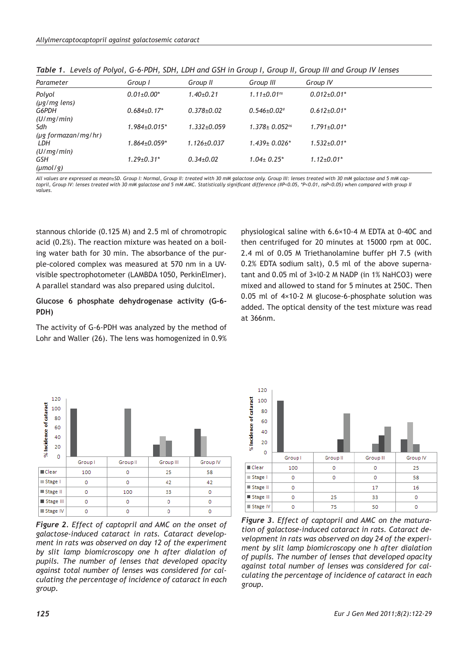| Parameter                | Group I                          | Group II          | Group III                       | Group IV                      |
|--------------------------|----------------------------------|-------------------|---------------------------------|-------------------------------|
| Polyol                   | $0.01 \pm 0.00*$                 | $1.40+0.21$       | $1.11 \pm 0.01$ <sup>ns</sup>   | $0.012{\pm}0.01*$             |
| $(\mu g/mg$ lens)        |                                  |                   |                                 |                               |
| G6PDH                    | $0.684{\pm}0.17*$                | $0.378 + 0.02$    | $0.546 \pm 0.02$ #              | $0.612 \pm 0.01$ *            |
| (U/mg/min)               |                                  |                   |                                 |                               |
| Sdh                      | $1.984 \pm 0.015$ *              | $1.332 + 0.059$   | $1.378 \pm 0.052$ <sup>ns</sup> | $1.791 \pm 0.01$ <sup>*</sup> |
| $(\mu$ g formazan/mg/hr) |                                  |                   |                                 |                               |
| LDH                      | $1.864{\scriptstyle \pm0.059^*}$ | $1.126 \pm 0.037$ | $1.439 \pm 0.026$ *             | $1.532 \pm 0.01*$             |
| (U/mg/min)               |                                  |                   |                                 |                               |
| GSH                      | $1.29 \pm 0.31$ *                | $0.34 + 0.02$     | $1.04 \pm 0.25^*$               | $1.12 \pm 0.01$ *             |
| $(\mu \text{mol}/g)$     |                                  |                   |                                 |                               |

*Table 1. Levels of Polyol, G-6-PDH, SDH, LDH and GSH in Group I, Group II, Group III and Group IV lenses*

*All values are expressed as mean±SD. Group I: Normal, Group II: treated with 30 mM galactose only. Group III: lenses treated with 30 mM galactose and 5 mM captopril, Group IV: lenses treated with 30 mM galactose and 5 mM AMC. Statistically significant difference (#P<0.05, \*P<0.01, nsP<0.05) when compared with group II values.* 

stannous chloride (0.125 M) and 2.5 ml of chromotropic acid (0.2%). The reaction mixture was heated on a boiling water bath for 30 min. The absorbance of the purple-colored complex was measured at 570 nm in a UVvisible spectrophotometer (LAMBDA 1050, PerkinElmer). A parallel standard was also prepared using dulcitol.

# **Glucose 6 phosphate dehydrogenase activity (G-6- PDH)**

The activity of G-6-PDH was analyzed by the method of Lohr and Waller (26). The lens was homogenized in 0.9%

physiological saline with 6.6×10-4 M EDTA at 0-40C and then centrifuged for 20 minutes at 15000 rpm at 00C. 2.4 ml of 0.05 M Triethanolamine buffer pH 7.5 (with 0.2% EDTA sodium salt), 0.5 ml of the above supernatant and 0.05 ml of 3×l0-2 M NADP (in 1% NaHCO3) were mixed and allowed to stand for 5 minutes at 250C. Then 0.05 ml of 4×10-2 M glucose-6-phosphate solution was added. The optical density of the test mixture was read at 366nm.



*Figure 2. Effect of captopril and AMC on the onset of galactose-induced cataract in rats. Cataract development in rats was observed on day 12 of the experiment by slit lamp biomicroscopy one h after dialation of pupils. The number of lenses that developed opacity against total number of lenses was considered for calculating the percentage of incidence of cataract in each group.*



*Figure 3. Effect of captopril and AMC on the maturation of galactose-induced cataract in rats. Cataract development in rats was observed on day 24 of the experiment by slit lamp biomicroscopy one h after dialation of pupils. The number of lenses that developed opacity against total number of lenses was considered for calculating the percentage of incidence of cataract in each group.*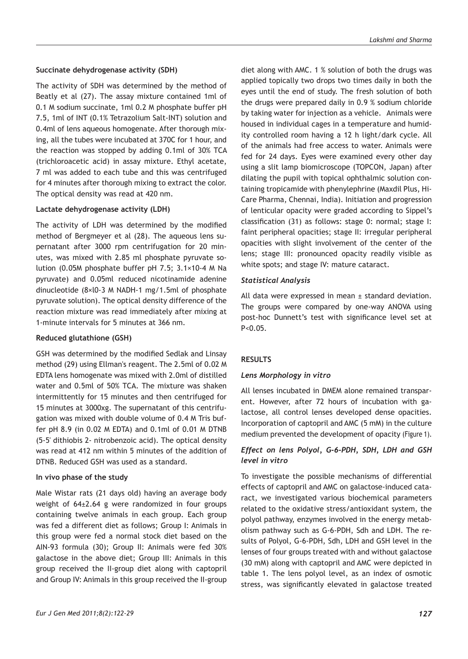# **Succinate dehydrogenase activity (SDH)**

The activity of SDH was determined by the method of Beatly et al (27). The assay mixture contained 1ml of 0.1 M sodium succinate, 1ml 0.2 M phosphate buffer pH 7.5, 1ml of INT (0.1% Tetrazolium Salt-INT) solution and 0.4ml of lens aqueous homogenate. After thorough mixing, all the tubes were incubated at 370C for 1 hour, and the reaction was stopped by adding 0.1ml of 30% TCA (trichloroacetic acid) in assay mixture. Ethyl acetate, 7 ml was added to each tube and this was centrifuged for 4 minutes after thorough mixing to extract the color. The optical density was read at 420 nm.

# **Lactate dehydrogenase activity (LDH)**

The activity of LDH was determined by the modified method of Bergmeyer et al (28). The aqueous lens supernatant after 3000 rpm centrifugation for 20 minutes, was mixed with 2.85 ml phosphate pyruvate solution (0.05M phosphate buffer pH 7.5; 3.1×10-4 M Na pyruvate) and 0.05ml reduced nicotinamide adenine dinucleotide (8×l0-3 M NADH-1 mg/1.5ml of phosphate pyruvate solution). The optical density difference of the reaction mixture was read immediately after mixing at 1-minute intervals for 5 minutes at 366 nm.

# **Reduced glutathione (GSH)**

GSH was determined by the modified Sedlak and Linsay method (29) using Ellman's reagent. The 2.5ml of 0.02 M EDTA lens homogenate was mixed with 2.0ml of distilled water and 0.5ml of 50% TCA. The mixture was shaken intermittently for 15 minutes and then centrifuged for 15 minutes at 3000xg. The supernatant of this centrifugation was mixed with double volume of 0.4 M Tris buffer pH 8.9 (in 0.02 M EDTA) and 0.1ml of 0.01 M DTNB (5-5' dithiobis 2- nitrobenzoic acid). The optical density was read at 412 nm within 5 minutes of the addition of DTNB. Reduced GSH was used as a standard.

# **In vivo phase of the study**

Male Wistar rats (21 days old) having an average body weight of 64±2.64 g were randomized in four groups containing twelve animals in each group. Each group was fed a different diet as follows; Group I: Animals in this group were fed a normal stock diet based on the AIN-93 formula (30); Group II: Animals were fed 30% galactose in the above diet; Group III: Animals in this group received the II-group diet along with captopril and Group IV: Animals in this group received the II-group diet along with AMC. 1 % solution of both the drugs was applied topically two drops two times daily in both the eyes until the end of study. The fresh solution of both the drugs were prepared daily in 0.9 % sodium chloride by taking water for injection as a vehicle. Animals were housed in individual cages in a temperature and humidity controlled room having a 12 h light/dark cycle. All of the animals had free access to water. Animals were fed for 24 days. Eyes were examined every other day using a slit lamp biomicroscope (TOPCON, Japan) after dilating the pupil with topical ophthalmic solution containing tropicamide with phenylephrine (Maxdil Plus, Hi-Care Pharma, Chennai, India). Initiation and progression of lenticular opacity were graded according to Sippel's classification (31) as follows: stage 0: normal; stage I: faint peripheral opacities; stage II: irregular peripheral opacities with slight involvement of the center of the lens; stage III: pronounced opacity readily visible as white spots; and stage IV: mature cataract.

# *Statistical Analysis*

All data were expressed in mean ± standard deviation. The groups were compared by one-way ANOVA using post-hoc Dunnett's test with significance level set at  $P < 0.05$ .

# **RESULTS**

# *Lens Morphology in vitro*

All lenses incubated in DMEM alone remained transparent. However, after 72 hours of incubation with galactose, all control lenses developed dense opacities. Incorporation of captopril and AMC (5 mM) in the culture medium prevented the development of opacity (Figure 1).

# *Effect on lens Polyol, G-6-PDH, SDH, LDH and GSH level in vitro*

To investigate the possible mechanisms of differential effects of captopril and AMC on galactose-induced cataract, we investigated various biochemical parameters related to the oxidative stress/antioxidant system, the polyol pathway, enzymes involved in the energy metabolism pathway such as G-6-PDH, Sdh and LDH. The results of Polyol, G-6-PDH, Sdh, LDH and GSH level in the lenses of four groups treated with and without galactose (30 mM) along with captopril and AMC were depicted in table 1. The lens polyol level, as an index of osmotic stress, was significantly elevated in galactose treated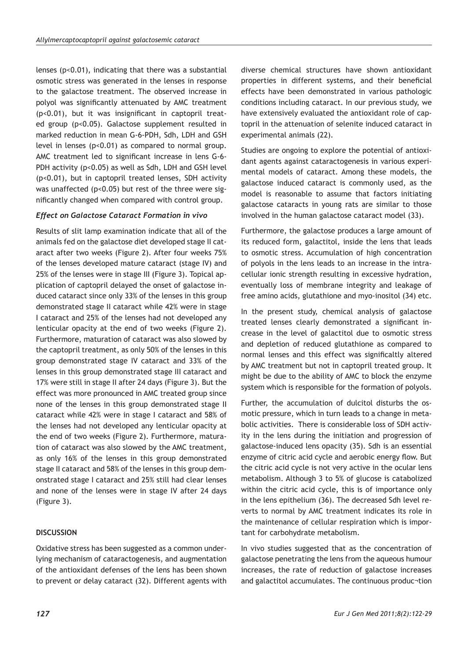lenses (p<0.01), indicating that there was a substantial osmotic stress was generated in the lenses in response to the galactose treatment. The observed increase in polyol was significantly attenuated by AMC treatment (p<0.01), but it was insignificant in captopril treated group (p<0.05). Galactose supplement resulted in marked reduction in mean G-6-PDH, Sdh, LDH and GSH level in lenses (p<0.01) as compared to normal group. AMC treatment led to significant increase in lens G-6- PDH activity (p<0.05) as well as Sdh, LDH and GSH level (p<0.01), but in captopril treated lenses, SDH activity was unaffected (p<0.05) but rest of the three were significantly changed when compared with control group.

# *Effect on Galactose Cataract Formation in vivo*

Results of slit lamp examination indicate that all of the animals fed on the galactose diet developed stage II cataract after two weeks (Figure 2). After four weeks 75% of the lenses developed mature cataract (stage IV) and 25% of the lenses were in stage III (Figure 3). Topical application of captopril delayed the onset of galactose induced cataract since only 33% of the lenses in this group demonstrated stage II cataract while 42% were in stage I cataract and 25% of the lenses had not developed any lenticular opacity at the end of two weeks (Figure 2). Furthermore, maturation of cataract was also slowed by the captopril treatment, as only 50% of the lenses in this group demonstrated stage IV cataract and 33% of the lenses in this group demonstrated stage III cataract and 17% were still in stage II after 24 days (Figure 3). But the effect was more pronounced in AMC treated group since none of the lenses in this group demonstrated stage II cataract while 42% were in stage I cataract and 58% of the lenses had not developed any lenticular opacity at the end of two weeks (Figure 2). Furthermore, maturation of cataract was also slowed by the AMC treatment, as only 16% of the lenses in this group demonstrated stage II cataract and 58% of the lenses in this group demonstrated stage I cataract and 25% still had clear lenses and none of the lenses were in stage IV after 24 days (Figure 3).

# **DISCUSSION**

Oxidative stress has been suggested as a common underlying mechanism of cataractogenesis, and augmentation of the antioxidant defenses of the lens has been shown to prevent or delay cataract (32). Different agents with diverse chemical structures have shown antioxidant properties in different systems, and their beneficial effects have been demonstrated in various pathologic conditions including cataract. In our previous study, we have extensively evaluated the antioxidant role of captopril in the attenuation of selenite induced cataract in experimental animals (22).

Studies are ongoing to explore the potential of antioxidant agents against cataractogenesis in various experimental models of cataract. Among these models, the galactose induced cataract is commonly used, as the model is reasonable to assume that factors initiating galactose cataracts in young rats are similar to those involved in the human galactose cataract model (33).

Furthermore, the galactose produces a large amount of its reduced form, galactitol, inside the lens that leads to osmotic stress. Accumulation of high concentration of polyols in the lens leads to an increase in the intracellular ionic strength resulting in excessive hydration, eventually loss of membrane integrity and leakage of free amino acids, glutathione and myo-inositol (34) etc.

In the present study, chemical analysis of galactose treated lenses clearly demonstrated a significant increase in the level of galactitol due to osmotic stress and depletion of reduced glutathione as compared to normal lenses and this effect was significaltly altered by AMC treatment but not in captopril treated group. It might be due to the ability of AMC to block the enzyme system which is responsible for the formation of polyols.

Further, the accumulation of dulcitol disturbs the osmotic pressure, which in turn leads to a change in metabolic activities. There is considerable loss of SDH activity in the lens during the initiation and progression of galactose-induced lens opacity (35). Sdh is an essential enzyme of citric acid cycle and aerobic energy flow. But the citric acid cycle is not very active in the ocular lens metabolism. Although 3 to 5% of glucose is catabolized within the citric acid cycle, this is of importance only in the lens epithelium (36). The decreased Sdh level reverts to normal by AMC treatment indicates its role in the maintenance of cellular respiration which is important for carbohydrate metabolism.

In vivo studies suggested that as the concentration of galactose penetrating the lens from the aqueous humour increases, the rate of reduction of galactose increases and galactitol accumulates. The continuous produc¬tion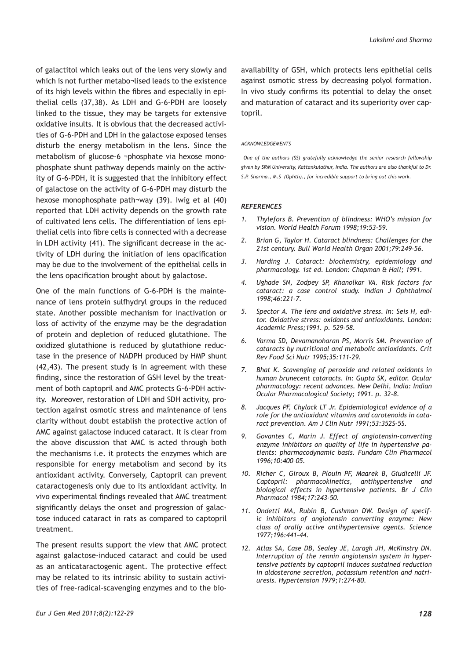of galactitol which leaks out of the lens very slowly and which is not further metabo¬lised leads to the existence of its high levels within the fibres and especially in epithelial cells (37,38). As LDH and G-6-PDH are loosely linked to the tissue, they may be targets for extensive oxidative insults. It is obvious that the decreased activities of G-6-PDH and LDH in the galactose exposed lenses disturb the energy metabolism in the lens. Since the metabolism of glucose-6 ¬phosphate via hexose monophosphate shunt pathway depends mainly on the activity of G-6-PDH, it is suggested that the inhibitory effect of galactose on the activity of G-6-PDH may disturb the hexose monophosphate path¬way (39). Iwig et al (40) reported that LDH activity depends on the growth rate of cultivated lens cells. The differentiation of lens epithelial cells into fibre cells is connected with a decrease in LDH activity (41). The significant decrease in the activity of LDH during the initiation of lens opacification may be due to the involvement of the epithelial cells in the lens opacification brought about by galactose.

One of the main functions of G-6-PDH is the maintenance of lens protein sulfhydryl groups in the reduced state. Another possible mechanism for inactivation or loss of activity of the enzyme may be the degradation of protein and depletion of reduced glutathione. The oxidized glutathione is reduced by glutathione reductase in the presence of NADPH produced by HMP shunt (42,43). The present study is in agreement with these finding, since the restoration of GSH level by the treatment of both captopril and AMC protects G-6-PDH activity. Moreover, restoration of LDH and SDH activity, protection against osmotic stress and maintenance of lens clarity without doubt establish the protective action of AMC against galactose induced cataract. It is clear from the above discussion that AMC is acted through both the mechanisms i.e. it protects the enzymes which are responsible for energy metabolism and second by its antioxidant activity. Conversely, Captopril can prevent cataractogenesis only due to its antioxidant activity. In vivo experimental findings revealed that AMC treatment significantly delays the onset and progression of galactose induced cataract in rats as compared to captopril treatment.

The present results support the view that AMC protect against galactose-induced cataract and could be used as an anticataractogenic agent. The protective effect may be related to its intrinsic ability to sustain activities of free-radical-scavenging enzymes and to the bio-

#### *ACKNOWLEDGEMENTS*

 *One of the authors (SS) gratefully acknowledge the senior research fellowship given by SRM University, Kattankulathur, India. The authors are also thankful to Dr. S.P. Sharma., M.S (Ophth)., for incredible support to bring out this work.*

## *REFERENCES*

- *1. Thylefors B. Prevention of blindness: WHO's mission for vision. World Health Forum 1998;19:53-59.*
- *2. Brian G, Taylor H. Cataract blindness: Challenges for the 21st century. Bull World Health Organ 2001;79:249-56.*
- *3. Harding J. Cataract: biochemistry, epidemiology and pharmacology. 1st ed. London: Chapman & Hall; 1991.*
- *4. Ughade SN, Zodpey SP, Khanolkar VA. Risk factors for cataract: a case control study. Indian J Ophthalmol 1998;46:221-7.*
- *5. Spector A. The lens and oxidative stress. In: Seis H, editor. Oxidative stress: oxidants and antioxidants. London: Academic Press;1991. p. 529-58.*
- *6. Varma SD, Devamanoharan PS, Morris SM. Prevention of cataracts by nutritional and metabolic antioxidants. Crit Rev Food Sci Nutr 1995;35:111-29.*
- *7. Bhat K. Scavenging of peroxide and related oxidants in human brunecent cataracts. In: Gupta SK, editor. Ocular pharmacology: recent advances. New Delhi, India: Indian Ocular Pharmacological Society; 1991. p. 32-8.*
- *8. Jacques PF, Chylack LT Jr. Epidemiological evidence of a role for the antioxidant vitamins and carotenoids in cataract prevention. Am J Clin Nutr 1991;53:352S-5S.*
- *9. Govantes C, Marin J. Effect of angiotensin-converting enzyme inhibitors on quality of life in hypertensive patients: pharmacodynamic basis. Fundam Clin Pharmacol 1996;10:400–05.*
- *10. Richer C, Giroux B, Plouin PF, Maarek B, Giudicelli JF. Captopril: pharmacokinetics, antihypertensive and biological effects in hypertensive patients. Br J Clin Pharmacol 1984;17:243-50.*
- *11. Ondetti MA, Rubin B, Cushman DW. Design of specific inhibitors of angiotensin converting enzyme: New class of orally active antihypertensive agents. Science 1977;196:441-44.*
- *12. Atlas SA, Case DB, Sealey JE, Laragh JH, McKinstry DN. Interruption of the rennin angiotensin system in hypertensive patients by captopril induces sustained reduction in aldosterone secretion, potassium retention and natriuresis. Hypertension 1979;1:274-80.*